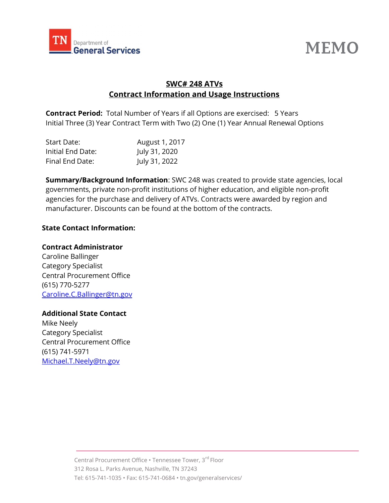



# SWC# 248 ATVs Contract Information and Usage Instructions

Contract Period: Total Number of Years if all Options are exercised: 5 Years Initial Three (3) Year Contract Term with Two (2) One (1) Year Annual Renewal Options

| Start Date:       | August 1, 2017 |
|-------------------|----------------|
| Initial End Date: | July 31, 2020  |
| Final End Date:   | July 31, 2022  |

Summary/Background Information: SWC 248 was created to provide state agencies, local governments, private non-profit institutions of higher education, and eligible non-profit agencies for the purchase and delivery of ATVs. Contracts were awarded by region and manufacturer. Discounts can be found at the bottom of the contracts.

## State Contact Information:

#### Contract Administrator

Caroline Ballinger Category Specialist Central Procurement Office (615) 770-5277 Caroline.C.Ballinger@tn.gov

## Additional State Contact

Mike Neely Category Specialist Central Procurement Office (615) 741-5971 Michael.T.Neely@tn.gov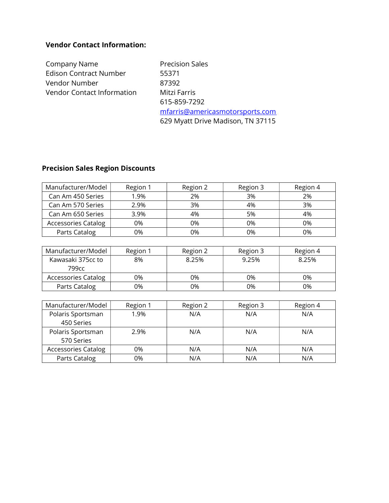### Vendor Contact Information:

Company Name Precision Sales Edison Contract Number 55371 Vendor Number 87392 Vendor Contact Information Mitzi Farris

615-859-7292 mfarris@americasmotorsports.com 629 Myatt Drive Madison, TN 37115

# Precision Sales Region Discounts

| Manufacturer/Model         | Region 1 | Region 2 | Region 3 | Region 4 |
|----------------------------|----------|----------|----------|----------|
| Can Am 450 Series          | 1.9%     | 2%       | 3%       | 2%       |
| Can Am 570 Series          | 2.9%     | 3%       | 4%       | 3%       |
| Can Am 650 Series          | 3.9%     | 4%       | 5%       | 4%       |
| <b>Accessories Catalog</b> | 0%       | 0%       | 0%       | 0%       |
| Parts Catalog              | 0%       | 0%       | ገ%       | 0%       |

| Manufacturer/Model         | Region 1 | Region 2 | Region 3 | Region 4 |
|----------------------------|----------|----------|----------|----------|
| Kawasaki 375cc to<br>799сс | 8%       | 8.25%    | 9.25%    | 8.25%    |
| <b>Accessories Catalog</b> | 0%       | 0%       | 0%       | 0%       |
| Parts Catalog              | 0%       | 0%       | 0%       | 0%       |

| Manufacturer/Model         | Region 1 | Region 2 | Region 3 | Region 4 |
|----------------------------|----------|----------|----------|----------|
| Polaris Sportsman          | 1.9%     | N/A      | N/A      | N/A      |
| 450 Series                 |          |          |          |          |
| Polaris Sportsman          | 2.9%     | N/A      | N/A      | N/A      |
| 570 Series                 |          |          |          |          |
| <b>Accessories Catalog</b> | 0%       | N/A      | N/A      | N/A      |
| Parts Catalog              | 0%       | N/A      | N/A      | N/A      |